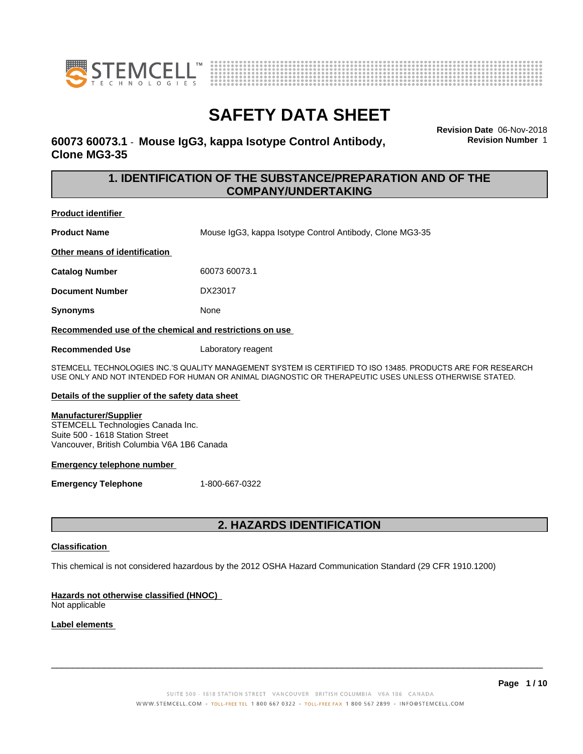



## **60073 60073.1** - **Mouse IgG3, kappa Isotype Control Antibody, Clone MG3-35**

**Revision Date** 06-Nov-2018 **Revision Number** 1

### **1. IDENTIFICATION OF THE SUBSTANCE/PREPARATION AND OF THE COMPANY/UNDERTAKING**

**Product identifier**

**Product Name** Mouse IgG3, kappa Isotype Control Antibody, Clone MG3-35

**Other means of identification**

**Catalog Number** 60073 60073.1

**Document Number** DX23017

**Synonyms** None

**Recommended use of the chemical and restrictions on use**

**Recommended Use** Laboratory reagent

STEMCELL TECHNOLOGIES INC.'S QUALITY MANAGEMENT SYSTEM IS CERTIFIED TO ISO 13485. PRODUCTS ARE FOR RESEARCH USE ONLY AND NOT INTENDED FOR HUMAN OR ANIMAL DIAGNOSTIC OR THERAPEUTIC USES UNLESS OTHERWISE STATED.

### **Details of the supplier of the safety data sheet**

#### **Manufacturer/Supplier**

STEMCELL Technologies Canada Inc. Suite 500 - 1618 Station Street Vancouver, British Columbia V6A 1B6 Canada

### **Emergency telephone number**

**Emergency Telephone** 1-800-667-0322

## **2. HAZARDS IDENTIFICATION**

### **Classification**

This chemical is not considered hazardous by the 2012 OSHA Hazard Communication Standard (29 CFR 1910.1200)

### **Hazards not otherwise classified (HNOC)**

Not applicable

### **Label elements**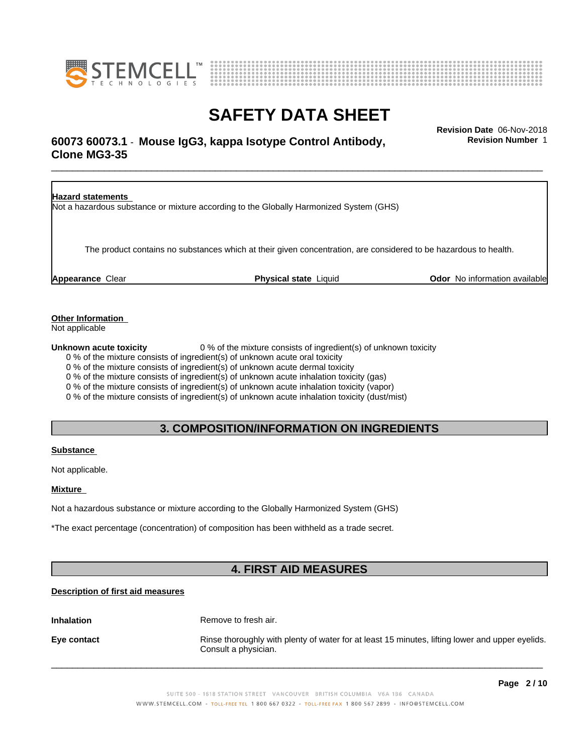



# \_\_\_\_\_\_\_\_\_\_\_\_\_\_\_\_\_\_\_\_\_\_\_\_\_\_\_\_\_\_\_\_\_\_\_\_\_\_\_\_\_\_\_\_\_\_\_\_\_\_\_\_\_\_\_\_\_\_\_\_\_\_\_\_\_\_\_\_\_\_\_\_\_\_\_\_\_\_\_\_\_\_\_\_\_\_\_\_\_\_\_\_\_ **Revision Date** 06-Nov-2018 **60073 60073.1** - **Mouse IgG3, kappa Isotype Control Antibody, Clone MG3-35**

**Revision Number** 1

**Hazard statements** Not a hazardous substance or mixture according to the Globally Harmonized System (GHS) The product contains no substances which at their given concentration, are considered to be hazardous to health. **Appearance** Clear **Physical state** Liquid **Odor** No information available

**Other Information**

Not applicable

**Unknown acute toxicity** 0 % of the mixture consists of ingredient(s) of unknown toxicity

0 % of the mixture consists of ingredient(s) of unknown acute oral toxicity

0 % of the mixture consists of ingredient(s) of unknown acute dermal toxicity

0 % of the mixture consists of ingredient(s) of unknown acute inhalation toxicity (gas)

0 % of the mixture consists of ingredient(s) of unknown acute inhalation toxicity (vapor)

0 % of the mixture consists of ingredient(s) of unknown acute inhalation toxicity (dust/mist)

### **3. COMPOSITION/INFORMATION ON INGREDIENTS**

### **Substance**

Not applicable.

### **Mixture**

Not a hazardous substance or mixture according to the Globally Harmonized System (GHS)

\*The exact percentage (concentration) of composition has been withheld as a trade secret.

# **4. FIRST AID MEASURES**

### **Description of first aid measures**

**Inhalation** Remove to fresh air.

**Eye contact Rinse thoroughly with plenty of water for at least 15 minutes, lifting lower and upper eyelids.** Consult a physician.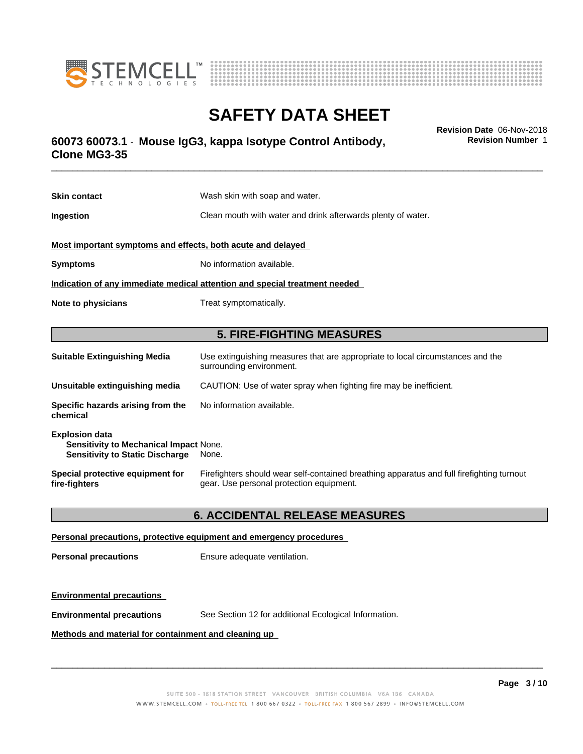



# \_\_\_\_\_\_\_\_\_\_\_\_\_\_\_\_\_\_\_\_\_\_\_\_\_\_\_\_\_\_\_\_\_\_\_\_\_\_\_\_\_\_\_\_\_\_\_\_\_\_\_\_\_\_\_\_\_\_\_\_\_\_\_\_\_\_\_\_\_\_\_\_\_\_\_\_\_\_\_\_\_\_\_\_\_\_\_\_\_\_\_\_\_ **Revision Date** 06-Nov-2018 **60073 60073.1** - **Mouse IgG3, kappa Isotype Control Antibody, Clone MG3-35**

**Skin contact** Wash skin with soap and water. **Ingestion Clean mouth with water and drink afterwards plenty of water. Most important symptoms and effects, both acute and delayed Symptoms** No information available. **Indication of any immediate medical attention and special treatment needed Note to physicians** Treat symptomatically. **5. FIRE-FIGHTING MEASURES Suitable Extinguishing Media** Use extinguishing measures that are appropriate to local circumstances and the surrounding environment. **Unsuitable extinguishing media** CAUTION: Use of water spray when fighting fire may be inefficient. **Specific hazards arising from the chemical** No information available. **Explosion data Sensitivity to Mechanical Impact** None. **Sensitivity to Static Discharge** None.

**Special protective equipment for fire-fighters** Firefighters should wear self-contained breathing apparatus and full firefighting turnout gear. Use personal protection equipment.

### **6. ACCIDENTAL RELEASE MEASURES**

**Personal precautions, protective equipment and emergency procedures**

**Personal precautions** Ensure adequate ventilation.

**Environmental precautions**

**Environmental precautions** See Section 12 for additional Ecological Information.

**Methods and material for containment and cleaning up**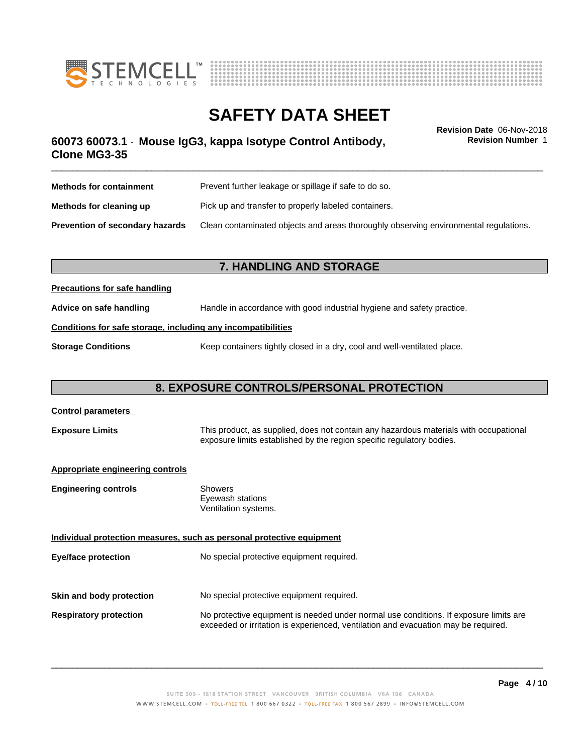



**Revision Number** 1

# \_\_\_\_\_\_\_\_\_\_\_\_\_\_\_\_\_\_\_\_\_\_\_\_\_\_\_\_\_\_\_\_\_\_\_\_\_\_\_\_\_\_\_\_\_\_\_\_\_\_\_\_\_\_\_\_\_\_\_\_\_\_\_\_\_\_\_\_\_\_\_\_\_\_\_\_\_\_\_\_\_\_\_\_\_\_\_\_\_\_\_\_\_ **Revision Date** 06-Nov-2018 **60073 60073.1** - **Mouse IgG3, kappa Isotype Control Antibody, Clone MG3-35**

| <b>Methods for containment</b>         | Prevent further leakage or spillage if safe to do so.                                |  |
|----------------------------------------|--------------------------------------------------------------------------------------|--|
| Methods for cleaning up                | Pick up and transfer to properly labeled containers.                                 |  |
| <b>Prevention of secondary hazards</b> | Clean contaminated objects and areas thoroughly observing environmental regulations. |  |

### **7. HANDLING AND STORAGE**

### **Precautions for safe handling**

**Advice on safe handling** Handle in accordance with good industrial hygiene and safety practice.

### **Conditions for safe storage, including any incompatibilities**

**Storage Conditions** Keep containers tightly closed in a dry, cool and well-ventilated place.

## **8. EXPOSURE CONTROLS/PERSONAL PROTECTION**

# **Control parameters Exposure Limits** This product, as supplied, does not contain any hazardous materials with occupational exposure limits established by the region specific regulatory bodies. **Appropriate engineering controls Engineering controls** Showers Eyewash stations Ventilation systems. **Individual protection measures, such as personal protective equipment Eye/face protection** No special protective equipment required. **Skin and body protection** No special protective equipment required. **Respiratory protection** No protective equipment is needed under normal use conditions. If exposure limits are exceeded or irritation is experienced, ventilation and evacuation may be required.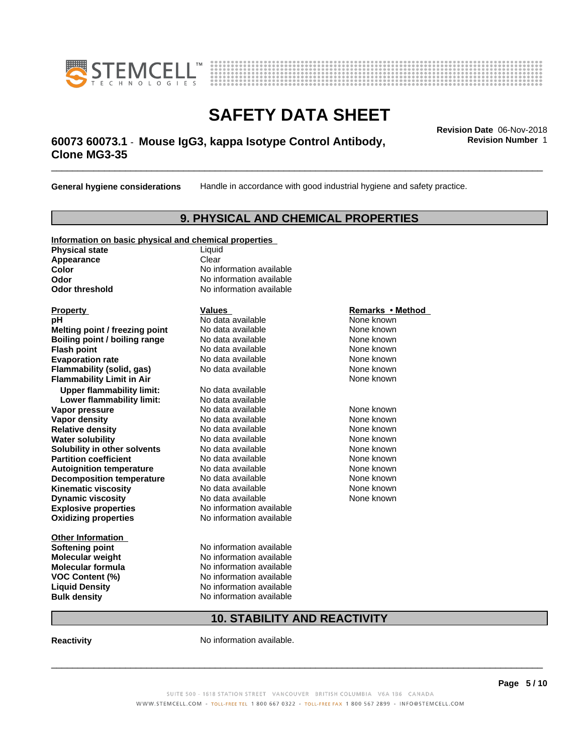



# \_\_\_\_\_\_\_\_\_\_\_\_\_\_\_\_\_\_\_\_\_\_\_\_\_\_\_\_\_\_\_\_\_\_\_\_\_\_\_\_\_\_\_\_\_\_\_\_\_\_\_\_\_\_\_\_\_\_\_\_\_\_\_\_\_\_\_\_\_\_\_\_\_\_\_\_\_\_\_\_\_\_\_\_\_\_\_\_\_\_\_\_\_ **Revision Date** 06-Nov-2018 **60073 60073.1** - **Mouse IgG3, kappa Isotype Control Antibody, Clone MG3-35**

**General hygiene considerations** Handle in accordance with good industrial hygiene and safety practice.

### **9. PHYSICAL AND CHEMICAL PROPERTIES**

### **Information on basic physical and chemical properties**

**Physical state** Liquid **Appearance** Clear<br> **Color** No inf

**Explosive properties**<br> **Oxidizing properties**<br>
No information available **Oxidizing properties Property Remarks •Method Property Remarks •Method pH** No data available None known<br> **Melting point / freezing point** No data available None known **Melting point / freezing point** No data available None known<br> **Boiling point / boiling range** No data available None known **Boiling point / boiling range Flash point No data available None known Evaporation rate** *rate* No data available **None known Flammability (solid, gas)** No data available None known **Flammability Limit in Air Air 1988 1999 <b>1999 1999 <b>1999 1999 1999 1999 1999 1999 1999 1999 1999 1999 1999 1999 1999 1999 1999 1999 1999 1999 1999 1999 1999 1999 1999 Upper flammability limit:** No data available **Lower flammability limit:** No data available **Vapor pressure No data available None known Vapor density No data available and the Shown Relative density and the None known Relative density and None known Relative density No data available and the Shown None known**<br> **Water solubility No data available None known None known Water solubility Solubility in other solvents** No data available **None known**<br> **Partition coefficient** No data available None known<br>
None known **Partition coefficient**<br> **Autoignition temperature**<br>
No data available None None known<br>
None known **Autoignition temperature** Mo data available Mone known<br> **Decomposition temperature** No data available None known **Decomposition temperature** No data available<br> **Kinematic viscosity** No data available **Kinematic viscosity No data available None known**<br> **Notata available None known**<br>
Notata available **None known Dynamic viscosity No data available None known** 

**Other Information VOC** Content (%)

**No information available Odor** No information available **Odor threshold** No information available

**Softening point** No information available **Molecular weight** No information available **Molecular formula No information available**<br>**VOC Content (%)** No information available **Liquid Density** No information available **Bulk density** No information available

# **10. STABILITY AND REACTIVITY**

**Reactivity No information available.** 

 $\overline{\phantom{a}}$  ,  $\overline{\phantom{a}}$  ,  $\overline{\phantom{a}}$  ,  $\overline{\phantom{a}}$  ,  $\overline{\phantom{a}}$  ,  $\overline{\phantom{a}}$  ,  $\overline{\phantom{a}}$  ,  $\overline{\phantom{a}}$  ,  $\overline{\phantom{a}}$  ,  $\overline{\phantom{a}}$  ,  $\overline{\phantom{a}}$  ,  $\overline{\phantom{a}}$  ,  $\overline{\phantom{a}}$  ,  $\overline{\phantom{a}}$  ,  $\overline{\phantom{a}}$  ,  $\overline{\phantom{a}}$ 

**Revision Number** 1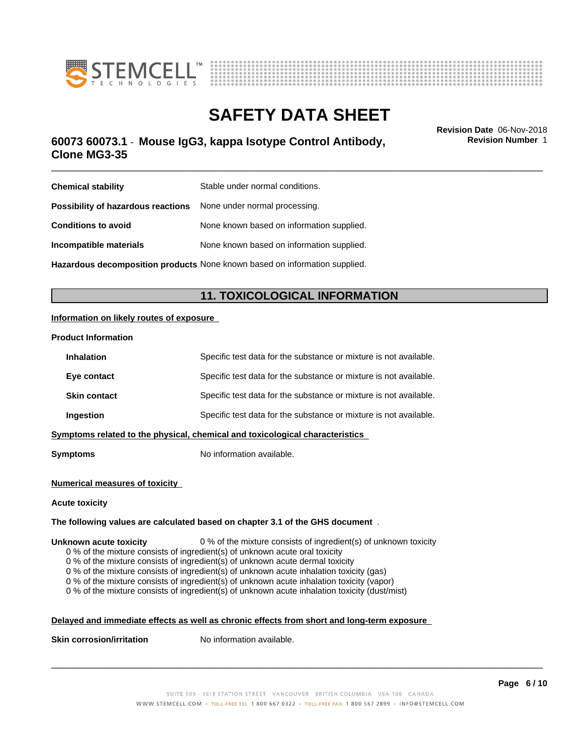



# \_\_\_\_\_\_\_\_\_\_\_\_\_\_\_\_\_\_\_\_\_\_\_\_\_\_\_\_\_\_\_\_\_\_\_\_\_\_\_\_\_\_\_\_\_\_\_\_\_\_\_\_\_\_\_\_\_\_\_\_\_\_\_\_\_\_\_\_\_\_\_\_\_\_\_\_\_\_\_\_\_\_\_\_\_\_\_\_\_\_\_\_\_ **Revision Date** 06-Nov-2018 **60073 60073.1** - **Mouse IgG3, kappa Isotype Control Antibody, Clone MG3-35**

**Revision Number** 1

| <b>Chemical stability</b>                                        | Stable under normal conditions.                                            |
|------------------------------------------------------------------|----------------------------------------------------------------------------|
| Possibility of hazardous reactions None under normal processing. |                                                                            |
| <b>Conditions to avoid</b>                                       | None known based on information supplied.                                  |
| Incompatible materials                                           | None known based on information supplied.                                  |
|                                                                  | Hazardous decomposition products None known based on information supplied. |

## **11. TOXICOLOGICAL INFORMATION**

### **Information on likely routes of exposure**

#### **Product Information**

| <b>Inhalation</b>   | Specific test data for the substance or mixture is not available.            |
|---------------------|------------------------------------------------------------------------------|
| Eye contact         | Specific test data for the substance or mixture is not available.            |
| <b>Skin contact</b> | Specific test data for the substance or mixture is not available.            |
| Ingestion           | Specific test data for the substance or mixture is not available.            |
|                     | Symptoms related to the physical, chemical and toxicological characteristics |
|                     |                                                                              |

**Symptoms** No information available.

#### **Numerical measures of toxicity**

#### **Acute toxicity**

#### **The following values are calculated based on chapter 3.1 of the GHS document** .

#### **Unknown acute toxicity** 0 % of the mixture consists of ingredient(s) of unknown toxicity

0 % of the mixture consists of ingredient(s) of unknown acute oral toxicity

0 % of the mixture consists of ingredient(s) of unknown acute dermal toxicity

0 % of the mixture consists of ingredient(s) of unknown acute inhalation toxicity (gas)

0 % of the mixture consists of ingredient(s) of unknown acute inhalation toxicity (vapor)

0 % of the mixture consists of ingredient(s) of unknown acute inhalation toxicity (dust/mist)

### **Delayed and immediate effects as well as chronic effects from short and long-term exposure**

**Skin corrosion/irritation** No information available.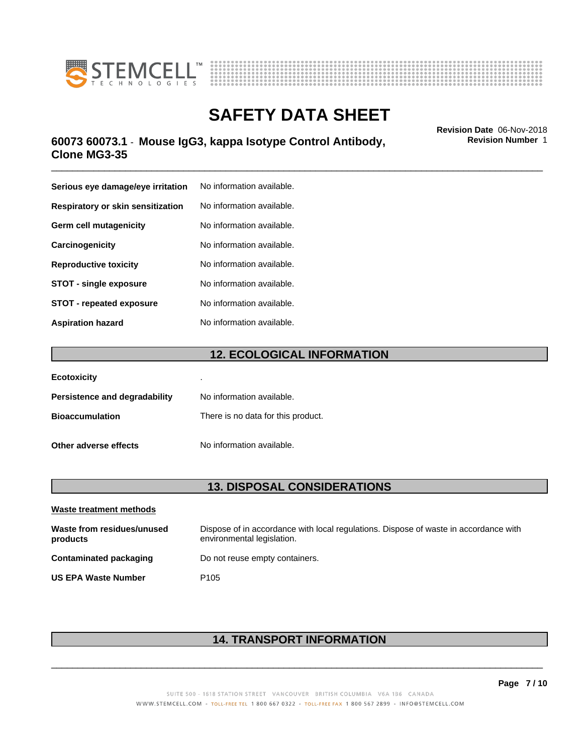



# \_\_\_\_\_\_\_\_\_\_\_\_\_\_\_\_\_\_\_\_\_\_\_\_\_\_\_\_\_\_\_\_\_\_\_\_\_\_\_\_\_\_\_\_\_\_\_\_\_\_\_\_\_\_\_\_\_\_\_\_\_\_\_\_\_\_\_\_\_\_\_\_\_\_\_\_\_\_\_\_\_\_\_\_\_\_\_\_\_\_\_\_\_ **Revision Date** 06-Nov-2018 **60073 60073.1** - **Mouse IgG3, kappa Isotype Control Antibody, Clone MG3-35**

**Serious eye damage/eye irritation** No information available. **Respiratory or skin sensitization** No information available. **Germ cell mutagenicity** No information available. **Carcinogenicity** No information available. **Reproductive toxicity** No information available. **STOT** - single exposure No information available. **STOT** - **repeated exposure** No information available. **Aspiration hazard** No information available.

### **12. ECOLOGICAL INFORMATION**

| <b>Ecotoxicity</b>            | ٠                                  |
|-------------------------------|------------------------------------|
| Persistence and degradability | No information available.          |
| <b>Bioaccumulation</b>        | There is no data for this product. |
| Other adverse effects         | No information available.          |

### **13. DISPOSAL CONSIDERATIONS**

| Waste treatment methods                |                                                                                                                    |
|----------------------------------------|--------------------------------------------------------------------------------------------------------------------|
| Waste from residues/unused<br>products | Dispose of in accordance with local regulations. Dispose of waste in accordance with<br>environmental legislation. |
| Contaminated packaging                 | Do not reuse empty containers.                                                                                     |
| <b>US EPA Waste Number</b>             | P <sub>105</sub>                                                                                                   |

# **14. TRANSPORT INFORMATION**

 $\overline{\phantom{a}}$  ,  $\overline{\phantom{a}}$  ,  $\overline{\phantom{a}}$  ,  $\overline{\phantom{a}}$  ,  $\overline{\phantom{a}}$  ,  $\overline{\phantom{a}}$  ,  $\overline{\phantom{a}}$  ,  $\overline{\phantom{a}}$  ,  $\overline{\phantom{a}}$  ,  $\overline{\phantom{a}}$  ,  $\overline{\phantom{a}}$  ,  $\overline{\phantom{a}}$  ,  $\overline{\phantom{a}}$  ,  $\overline{\phantom{a}}$  ,  $\overline{\phantom{a}}$  ,  $\overline{\phantom{a}}$ 

**Revision Number** 1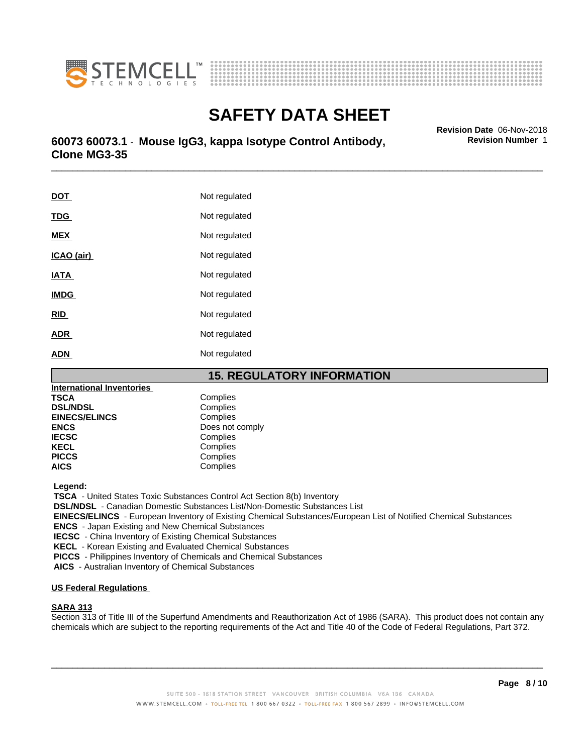



\_\_\_\_\_\_\_\_\_\_\_\_\_\_\_\_\_\_\_\_\_\_\_\_\_\_\_\_\_\_\_\_\_\_\_\_\_\_\_\_\_\_\_\_\_\_\_\_\_\_\_\_\_\_\_\_\_\_\_\_\_\_\_\_\_\_\_\_\_\_\_\_\_\_\_\_\_\_\_\_\_\_\_\_\_\_\_\_\_\_\_\_\_ **Revision Date** 06-Nov-2018 **60073 60073.1** - **Mouse IgG3, kappa Isotype Control Antibody, Clone MG3-35**

| <u>DOT</u>  | Not regulated |
|-------------|---------------|
| <b>TDG</b>  | Not regulated |
| <b>MEX</b>  | Not regulated |
| ICAO (air)  | Not regulated |
| <b>IATA</b> | Not regulated |
| <b>IMDG</b> | Not regulated |
| <b>RID</b>  | Not regulated |
| <b>ADR</b>  | Not regulated |
| <b>ADN</b>  | Not regulated |

### **15. REGULATORY INFORMATION**

| <b>International Inventories</b> |                 |  |
|----------------------------------|-----------------|--|
| <b>TSCA</b>                      | Complies        |  |
| <b>DSL/NDSL</b>                  | Complies        |  |
| <b>EINECS/ELINCS</b>             | Complies        |  |
| <b>ENCS</b>                      | Does not comply |  |
| <b>IECSC</b>                     | Complies        |  |
| <b>KECL</b>                      | Complies        |  |
| <b>PICCS</b>                     | Complies        |  |
| <b>AICS</b>                      | Complies        |  |

 **Legend:**

 **TSCA** - United States Toxic Substances Control Act Section 8(b) Inventory

 **DSL/NDSL** - Canadian Domestic Substances List/Non-Domestic Substances List

 **EINECS/ELINCS** - European Inventory of Existing Chemical Substances/European List of Notified Chemical Substances

 **ENCS** - Japan Existing and New Chemical Substances

 **IECSC** - China Inventory of Existing Chemical Substances

 **KECL** - Korean Existing and Evaluated Chemical Substances

 **PICCS** - Philippines Inventory of Chemicals and Chemical Substances

 **AICS** - Australian Inventory of Chemical Substances

### **US Federal Regulations**

### **SARA 313**

Section 313 of Title III of the Superfund Amendments and Reauthorization Act of 1986 (SARA). This product does not contain any chemicals which are subject to the reporting requirements of the Act and Title 40 of the Code of Federal Regulations, Part 372.

 $\overline{\phantom{a}}$  ,  $\overline{\phantom{a}}$  ,  $\overline{\phantom{a}}$  ,  $\overline{\phantom{a}}$  ,  $\overline{\phantom{a}}$  ,  $\overline{\phantom{a}}$  ,  $\overline{\phantom{a}}$  ,  $\overline{\phantom{a}}$  ,  $\overline{\phantom{a}}$  ,  $\overline{\phantom{a}}$  ,  $\overline{\phantom{a}}$  ,  $\overline{\phantom{a}}$  ,  $\overline{\phantom{a}}$  ,  $\overline{\phantom{a}}$  ,  $\overline{\phantom{a}}$  ,  $\overline{\phantom{a}}$ 

**Revision Number** 1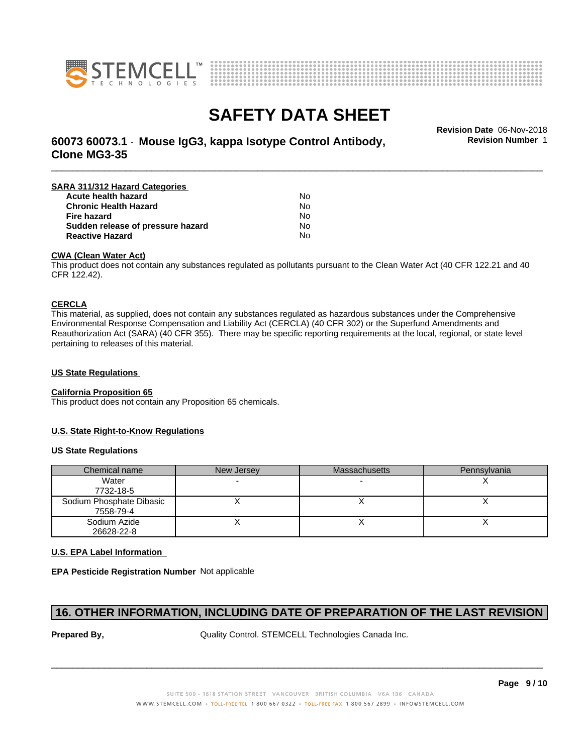



# **SAFETY DATA SHEET**<br>Revision Date 06-Nov-2018

**Revision Number** 1

# \_\_\_\_\_\_\_\_\_\_\_\_\_\_\_\_\_\_\_\_\_\_\_\_\_\_\_\_\_\_\_\_\_\_\_\_\_\_\_\_\_\_\_\_\_\_\_\_\_\_\_\_\_\_\_\_\_\_\_\_\_\_\_\_\_\_\_\_\_\_\_\_\_\_\_\_\_\_\_\_\_\_\_\_\_\_\_\_\_\_\_\_\_ **Revision Date** 06-Nov-2018 **60073 60073.1** - **Mouse IgG3, kappa Isotype Control Antibody, Clone MG3-35**

| SARA 311/312 Hazard Categories    |    |  |
|-----------------------------------|----|--|
| Acute health hazard               | No |  |
| <b>Chronic Health Hazard</b>      | No |  |
| <b>Fire hazard</b>                | No |  |
| Sudden release of pressure hazard | N٥ |  |
| <b>Reactive Hazard</b>            | No |  |

### **CWA (Clean WaterAct)**

This product does not contain any substances regulated as pollutants pursuant to the Clean Water Act (40 CFR 122.21 and 40 CFR 122.42).

### **CERCLA**

This material, as supplied, does not contain any substances regulated as hazardous substances under the Comprehensive Environmental Response Compensation and Liability Act (CERCLA) (40 CFR 302) or the Superfund Amendments and Reauthorization Act (SARA) (40 CFR 355). There may be specific reporting requirements at the local, regional, or state level pertaining to releases of this material.

### **US State Regulations**

#### **California Proposition 65**

This product does not contain any Proposition 65 chemicals.

### **U.S. State Right-to-Know Regulations**

#### **US State Regulations**

| Chemical name                         | New Jersey | <b>Massachusetts</b> | Pennsylvania |
|---------------------------------------|------------|----------------------|--------------|
| Water<br>7732-18-5                    |            |                      |              |
| Sodium Phosphate Dibasic<br>7558-79-4 |            |                      |              |
| Sodium Azide<br>26628-22-8            |            |                      |              |

### **U.S. EPA Label Information**

**EPA Pesticide Registration Number** Not applicable

### **16. OTHER INFORMATION, INCLUDING DATE OF PREPARATION OF THE LAST REVISION**

**Prepared By, State Control. STEMCELL Technologies Canada Inc.**